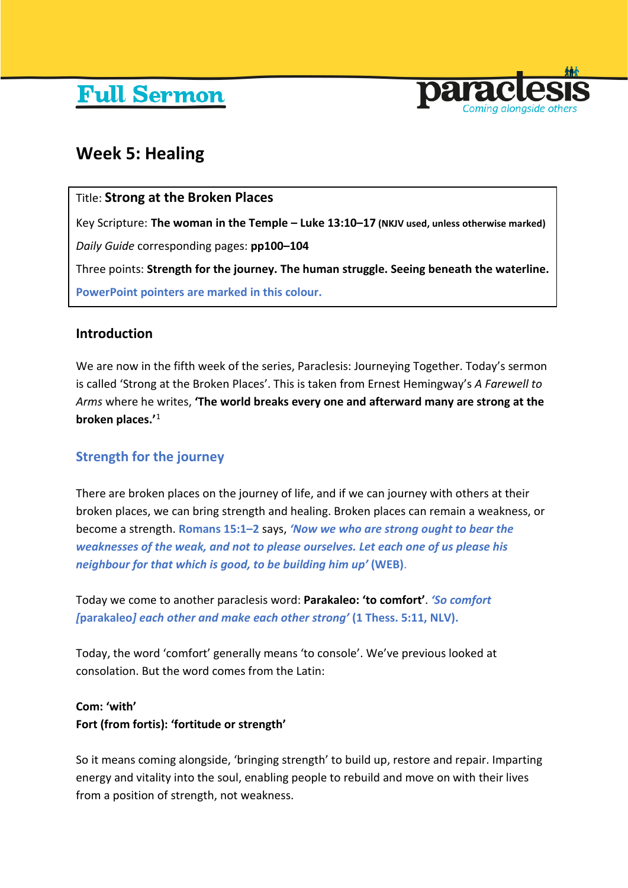# **Full Sermon**



## **Week 5: Healing**

## Title: **Strong at the Broken Places**

Key Scripture: **The woman in the Temple – Luke 13:10–17 (NKJV used, unless otherwise marked)** *Daily Guide* corresponding pages: **pp100–104**

Three points: **Strength for the journey. The human struggle. Seeing beneath the waterline. PowerPoint pointers are marked in this colour.**

## **Introduction**

We are now in the fifth week of the series, Paraclesis: Journeying Together. Today's sermon is called 'Strong at the Broken Places'. This is taken from Ernest Hemingway's *A Farewell to Arms* where he writes, **'The world breaks every one and afterward many are strong at the broken places.'**[1](#page-8-0)

## **Strength for the journey**

There are broken places on the journey of life, and if we can journey with others at their broken places, we can bring strength and healing. Broken places can remain a weakness, or become a strength. **Romans 15:1–2** says, *'Now we who are strong ought to bear the weaknesses of the weak, and not to please ourselves. Let each one of us please his neighbour for that which is good, to be building him up'* **(WEB)**.

Today we come to another paraclesis word: **Parakaleo: 'to comfort'**. *'So comfort [***parakaleo***] each other and make each other strong'* **(1 Thess. 5:11, NLV).**

Today, the word 'comfort' generally means 'to console'. We've previous looked at consolation. But the word comes from the Latin:

## **Com: 'with' Fort (from fortis): 'fortitude or strength'**

So it means coming alongside, 'bringing strength' to build up, restore and repair. Imparting energy and vitality into the soul, enabling people to rebuild and move on with their lives from a position of strength, not weakness.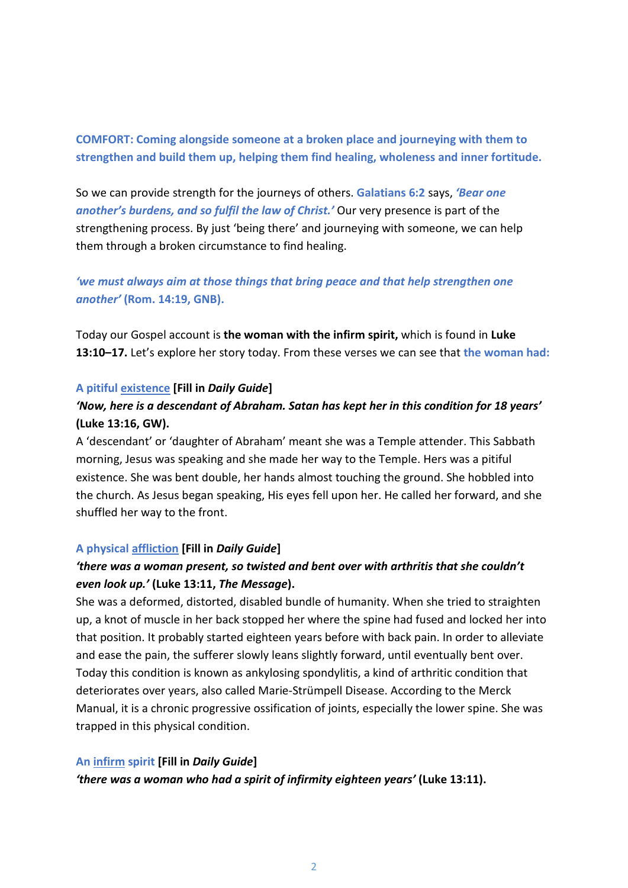**COMFORT: Coming alongside someone at a broken place and journeying with them to strengthen and build them up, helping them find healing, wholeness and inner fortitude.**

So we can provide strength for the journeys of others. **Galatians 6:2** says, *'Bear one another's burdens, and so fulfil the law of Christ.'* Our very presence is part of the strengthening process. By just 'being there' and journeying with someone, we can help them through a broken circumstance to find healing.

*'we must always aim at those things that bring peace and that help strengthen one another'* **(Rom. 14:19, GNB).**

Today our Gospel account is **the woman with the infirm spirit,** which is found in **Luke 13:10–17.** Let's explore her story today. From these verses we can see that **the woman had:**

#### **A pitiful existence [Fill in** *Daily Guide***]**

## *'Now, here is a descendant of Abraham. Satan has kept her in this condition for 18 years'* **(Luke 13:16, GW).**

A 'descendant' or 'daughter of Abraham' meant she was a Temple attender. This Sabbath morning, Jesus was speaking and she made her way to the Temple. Hers was a pitiful existence. She was bent double, her hands almost touching the ground. She hobbled into the church. As Jesus began speaking, His eyes fell upon her. He called her forward, and she shuffled her way to the front.

#### **A physical affliction [Fill in** *Daily Guide***]**

## *'there was a woman present, so twisted and bent over with arthritis that she couldn't even look up.'* **(Luke 13:11,** *The Message***).**

She was a deformed, distorted, disabled bundle of humanity. When she tried to straighten up, a knot of muscle in her back stopped her where the spine had fused and locked her into that position. It probably started eighteen years before with back pain. In order to alleviate and ease the pain, the sufferer slowly leans slightly forward, until eventually bent over. Today this condition is known as ankylosing spondylitis, a kind of arthritic condition that deteriorates over years, also called Marie-Strümpell Disease. According to the Merck Manual, it is a chronic progressive ossification of joints, especially the lower spine. She was trapped in this physical condition.

#### **An infirm spirit [Fill in** *Daily Guide***]**

*'there was a woman who had a spirit of infirmity eighteen years'* **(Luke 13:11).**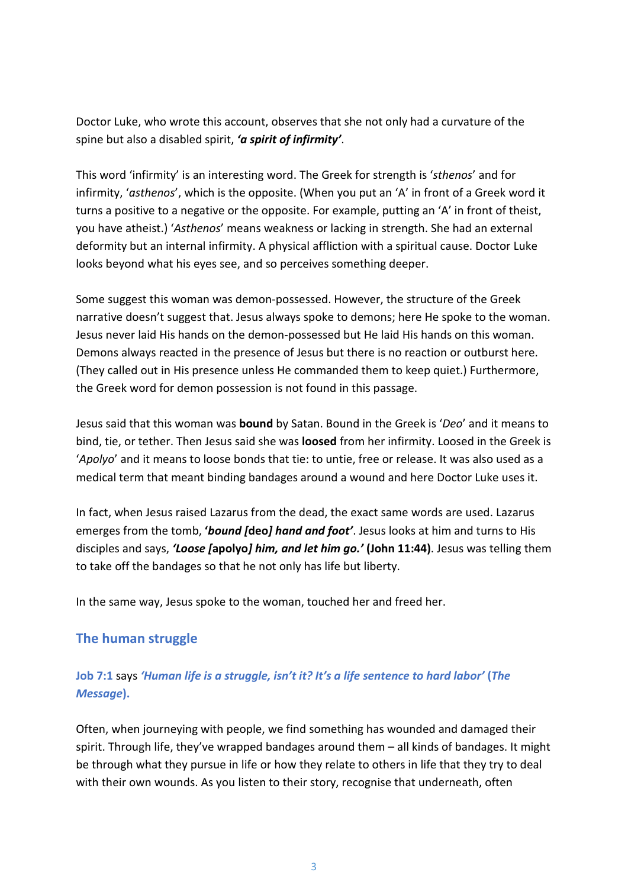Doctor Luke, who wrote this account, observes that she not only had a curvature of the spine but also a disabled spirit, *'a spirit of infirmity'*.

This word 'infirmity' is an interesting word. The Greek for strength is '*sthenos*' and for infirmity, '*asthenos*', which is the opposite. (When you put an 'A' in front of a Greek word it turns a positive to a negative or the opposite. For example, putting an 'A' in front of theist, you have atheist.) '*Asthenos*' means weakness or lacking in strength. She had an external deformity but an internal infirmity. A physical affliction with a spiritual cause. Doctor Luke looks beyond what his eyes see, and so perceives something deeper.

Some suggest this woman was demon-possessed. However, the structure of the Greek narrative doesn't suggest that. Jesus always spoke to demons; here He spoke to the woman. Jesus never laid His hands on the demon-possessed but He laid His hands on this woman. Demons always reacted in the presence of Jesus but there is no reaction or outburst here. (They called out in His presence unless He commanded them to keep quiet.) Furthermore, the Greek word for demon possession is not found in this passage.

Jesus said that this woman was **bound** by Satan. Bound in the Greek is '*Deo*' and it means to bind, tie, or tether. Then Jesus said she was **loosed** from her infirmity. Loosed in the Greek is '*Apolyo*' and it means to loose bonds that tie: to untie, free or release. It was also used as a medical term that meant binding bandages around a wound and here Doctor Luke uses it.

In fact, when Jesus raised Lazarus from the dead, the exact same words are used. Lazarus emerges from the tomb, **'***bound [***deo***] hand and foot'*. Jesus looks at him and turns to His disciples and says, *'Loose [***apolyo***] him, and let him go.'* **(John 11:44)**. Jesus was telling them to take off the bandages so that he not only has life but liberty.

In the same way, Jesus spoke to the woman, touched her and freed her.

## **The human struggle**

## **Job 7:1** says *'Human life is a struggle, isn't it? It's a life sentence to hard labor'* **(***The Message***).**

Often, when journeying with people, we find something has wounded and damaged their spirit. Through life, they've wrapped bandages around them – all kinds of bandages. It might be through what they pursue in life or how they relate to others in life that they try to deal with their own wounds. As you listen to their story, recognise that underneath, often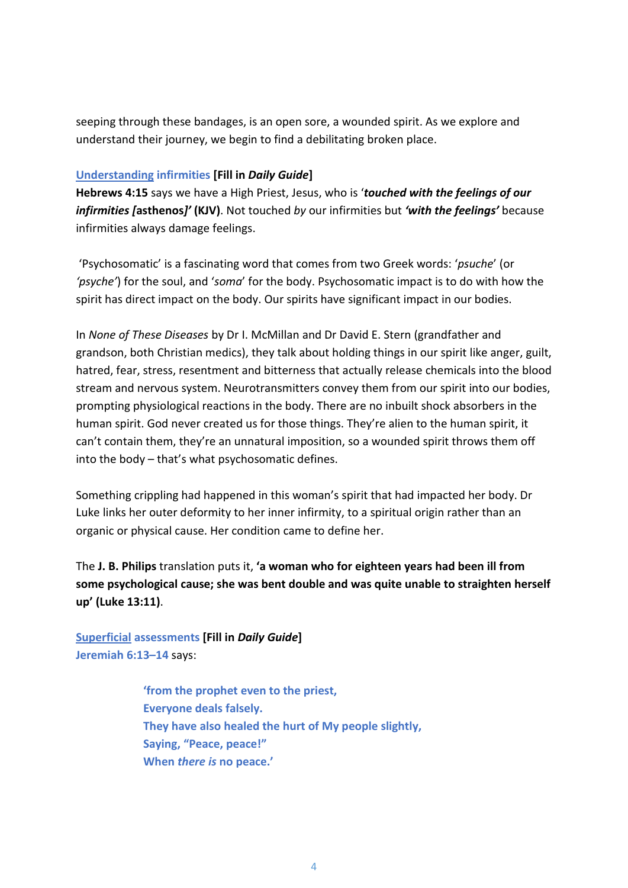seeping through these bandages, is an open sore, a wounded spirit. As we explore and understand their journey, we begin to find a debilitating broken place.

#### **Understanding infirmities [Fill in** *Daily Guide***]**

**Hebrews 4:15** says we have a High Priest, Jesus, who is '*touched with the feelings of our infirmities [***asthenos***]'* **(KJV)**. Not touched *by* our infirmities but *'with the feelings'* because infirmities always damage feelings.

'Psychosomatic' is a fascinating word that comes from two Greek words: '*psuche*' (or *'psyche'*) for the soul, and '*soma*' for the body. Psychosomatic impact is to do with how the spirit has direct impact on the body. Our spirits have significant impact in our bodies.

In *None of These Diseases* by Dr I. McMillan and Dr David E. Stern (grandfather and grandson, both Christian medics), they talk about holding things in our spirit like anger, guilt, hatred, fear, stress, resentment and bitterness that actually release chemicals into the blood stream and nervous system. Neurotransmitters convey them from our spirit into our bodies, prompting physiological reactions in the body. There are no inbuilt shock absorbers in the human spirit. God never created us for those things. They're alien to the human spirit, it can't contain them, they're an unnatural imposition, so a wounded spirit throws them off into the body – that's what psychosomatic defines.

Something crippling had happened in this woman's spirit that had impacted her body. Dr Luke links her outer deformity to her inner infirmity, to a spiritual origin rather than an organic or physical cause. Her condition came to define her.

The **J. B. Philips** translation puts it, **'a woman who for eighteen years had been ill from some psychological cause; she was bent double and was quite unable to straighten herself up' (Luke 13:11)**.

**Superficial assessments [Fill in** *Daily Guide***] Jeremiah 6:13–14** says:

> **'from the prophet even to the priest, Everyone deals falsely. They have also healed the hurt of My people slightly, Saying, "Peace, peace!" When** *there is* **no peace.'**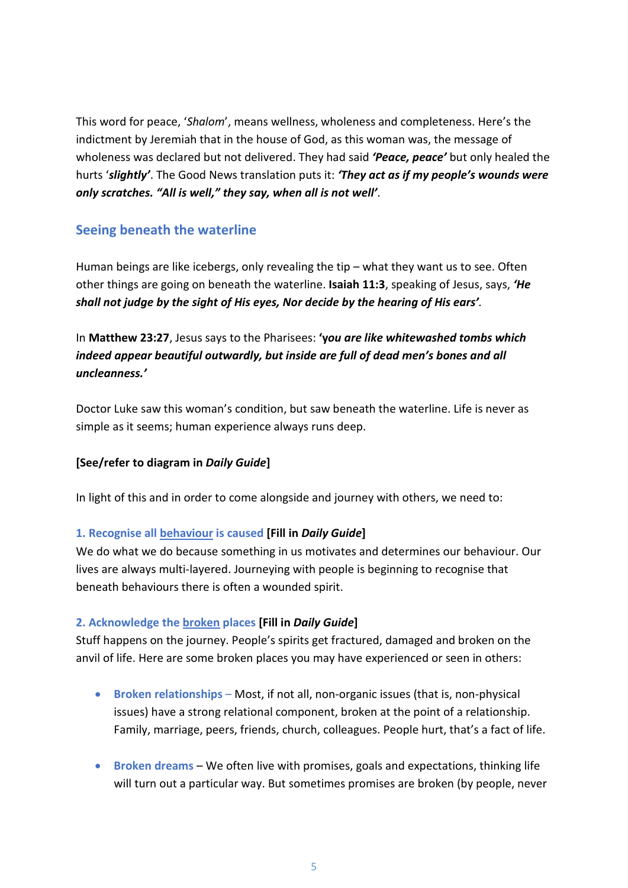This word for peace, '*Shalom*', means wellness, wholeness and completeness. Here's the indictment by Jeremiah that in the house of God, as this woman was, the message of wholeness was declared but not delivered. They had said *'Peace, peace'* but only healed the hurts '*slightly'*. The Good News translation puts it: *'They act as if my people's wounds were only scratches. "All is well," they say, when all is not well'*.

## **Seeing beneath the waterline**

Human beings are like icebergs, only revealing the tip – what they want us to see. Often other things are going on beneath the waterline. **Isaiah 11:3**, speaking of Jesus, says, *'He shall not judge by the sight of His eyes, Nor decide by the hearing of His ears'.*

In **Matthew 23:27**, Jesus says to the Pharisees: **'y***ou are like whitewashed tombs which indeed appear beautiful outwardly, but inside are full of dead men's bones and all uncleanness.'*

Doctor Luke saw this woman's condition, but saw beneath the waterline. Life is never as simple as it seems; human experience always runs deep.

## **[See/refer to diagram in** *Daily Guide***]**

In light of this and in order to come alongside and journey with others, we need to:

## **1. Recognise all behaviour is caused [Fill in** *Daily Guide***]**

We do what we do because something in us motivates and determines our behaviour. Our lives are always multi-layered. Journeying with people is beginning to recognise that beneath behaviours there is often a wounded spirit.

## **2. Acknowledge the broken places [Fill in** *Daily Guide***]**

Stuff happens on the journey. People's spirits get fractured, damaged and broken on the anvil of life. Here are some broken places you may have experienced or seen in others:

- **Broken relationships** Most, if not all, non-organic issues (that is, non-physical issues) have a strong relational component, broken at the point of a relationship. Family, marriage, peers, friends, church, colleagues. People hurt, that's a fact of life.
- **Broken dreams** We often live with promises, goals and expectations, thinking life will turn out a particular way. But sometimes promises are broken (by people, never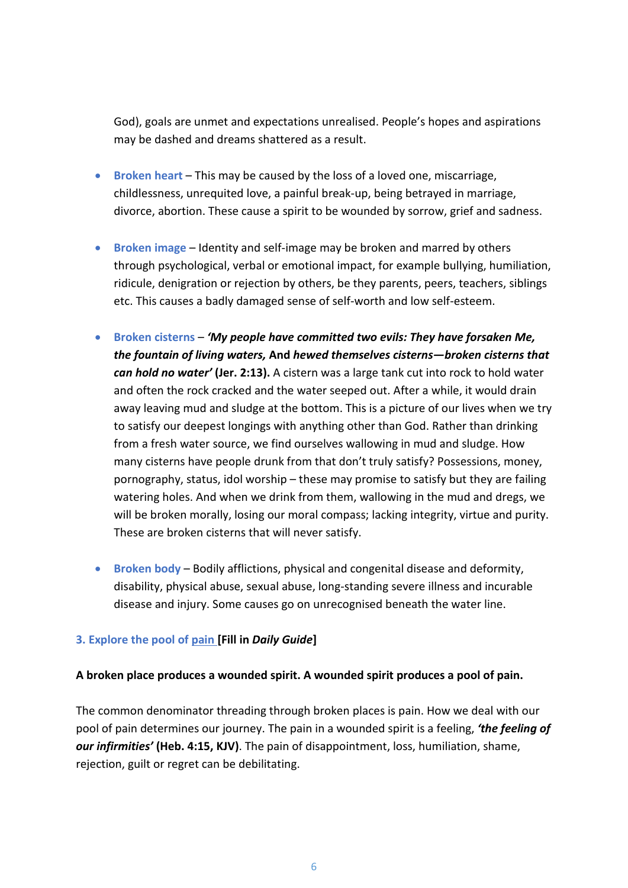God), goals are unmet and expectations unrealised. People's hopes and aspirations may be dashed and dreams shattered as a result.

- **Broken heart** This may be caused by the loss of a loved one, miscarriage, childlessness, unrequited love, a painful break-up, being betrayed in marriage, divorce, abortion. These cause a spirit to be wounded by sorrow, grief and sadness.
- **Broken image** Identity and self-image may be broken and marred by others through psychological, verbal or emotional impact, for example bullying, humiliation, ridicule, denigration or rejection by others, be they parents, peers, teachers, siblings etc. This causes a badly damaged sense of self-worth and low self-esteem.
- **Broken cisterns** *'My people have committed two evils: They have forsaken Me, the fountain of living waters,* **And** *hewed themselves cisterns—broken cisterns that can hold no water'* **(Jer. 2:13).** A cistern was a large tank cut into rock to hold water and often the rock cracked and the water seeped out. After a while, it would drain away leaving mud and sludge at the bottom. This is a picture of our lives when we try to satisfy our deepest longings with anything other than God. Rather than drinking from a fresh water source, we find ourselves wallowing in mud and sludge. How many cisterns have people drunk from that don't truly satisfy? Possessions, money, pornography, status, idol worship – these may promise to satisfy but they are failing watering holes. And when we drink from them, wallowing in the mud and dregs, we will be broken morally, losing our moral compass; lacking integrity, virtue and purity. These are broken cisterns that will never satisfy.
- **Broken body** Bodily afflictions, physical and congenital disease and deformity, disability, physical abuse, sexual abuse, long-standing severe illness and incurable disease and injury. Some causes go on unrecognised beneath the water line.

## **3. Explore the pool of pain [Fill in** *Daily Guide***]**

#### **A broken place produces a wounded spirit. A wounded spirit produces a pool of pain.**

The common denominator threading through broken places is pain. How we deal with our pool of pain determines our journey. The pain in a wounded spirit is a feeling, *'the feeling of our infirmities'* **(Heb. 4:15, KJV)**. The pain of disappointment, loss, humiliation, shame, rejection, guilt or regret can be debilitating.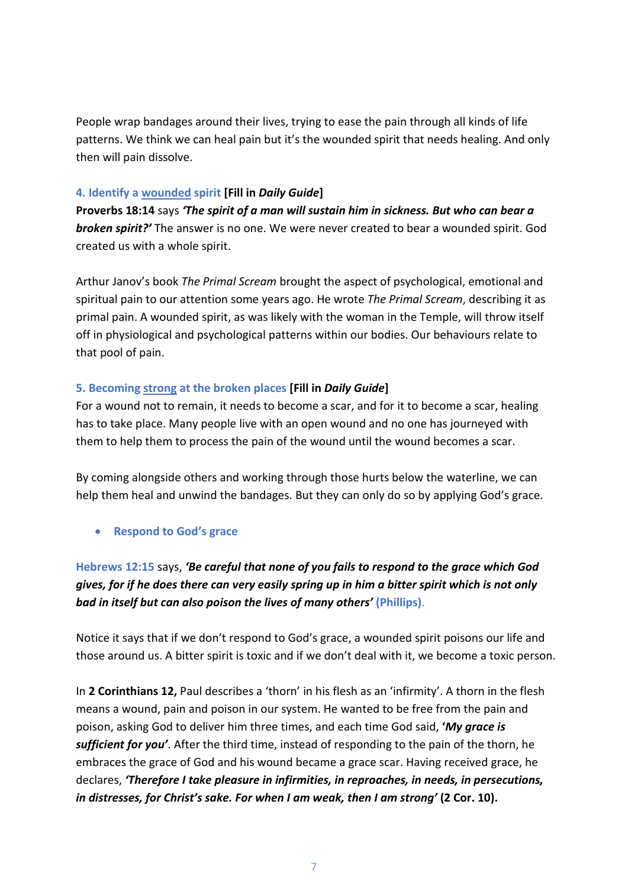People wrap bandages around their lives, trying to ease the pain through all kinds of life patterns. We think we can heal pain but it's the wounded spirit that needs healing. And only then will pain dissolve.

#### **4. Identify a wounded spirit [Fill in** *Daily Guide***]**

**Proverbs 18:14** says *'The spirit of a man will sustain him in sickness. But who can bear a broken spirit?'* The answer is no one. We were never created to bear a wounded spirit. God created us with a whole spirit.

Arthur Janov's book *The Primal Scream* brought the aspect of psychological, emotional and spiritual pain to our attention some years ago. He wrote *The Primal Scream*, describing it as primal pain. A wounded spirit, as was likely with the woman in the Temple, will throw itself off in physiological and psychological patterns within our bodies. Our behaviours relate to that pool of pain.

#### **5. Becoming strong at the broken places [Fill in** *Daily Guide***]**

For a wound not to remain, it needs to become a scar, and for it to become a scar, healing has to take place. Many people live with an open wound and no one has journeyed with them to help them to process the pain of the wound until the wound becomes a scar.

By coming alongside others and working through those hurts below the waterline, we can help them heal and unwind the bandages. But they can only do so by applying God's grace.

## • **Respond to God's grace**

## **Hebrews 12:15** says, *'Be careful that none of you fails to respond to the grace which God gives, for if he does there can very easily spring up in him a bitter spirit which is not only bad in itself but can also poison the lives of many others'* **(Phillips)**.

Notice it says that if we don't respond to God's grace, a wounded spirit poisons our life and those around us. A bitter spirit is toxic and if we don't deal with it, we become a toxic person.

In **2 Corinthians 12,** Paul describes a 'thorn' in his flesh as an 'infirmity'. A thorn in the flesh means a wound, pain and poison in our system. He wanted to be free from the pain and poison, asking God to deliver him three times, and each time God said, **'***My grace is sufficient for you'*. After the third time, instead of responding to the pain of the thorn, he embraces the grace of God and his wound became a grace scar. Having received grace, he declares, *'Therefore I take pleasure in infirmities, in reproaches, in needs, in persecutions, in distresses, for Christ's sake. For when I am weak, then I am strong'* **(2 Cor. 10).**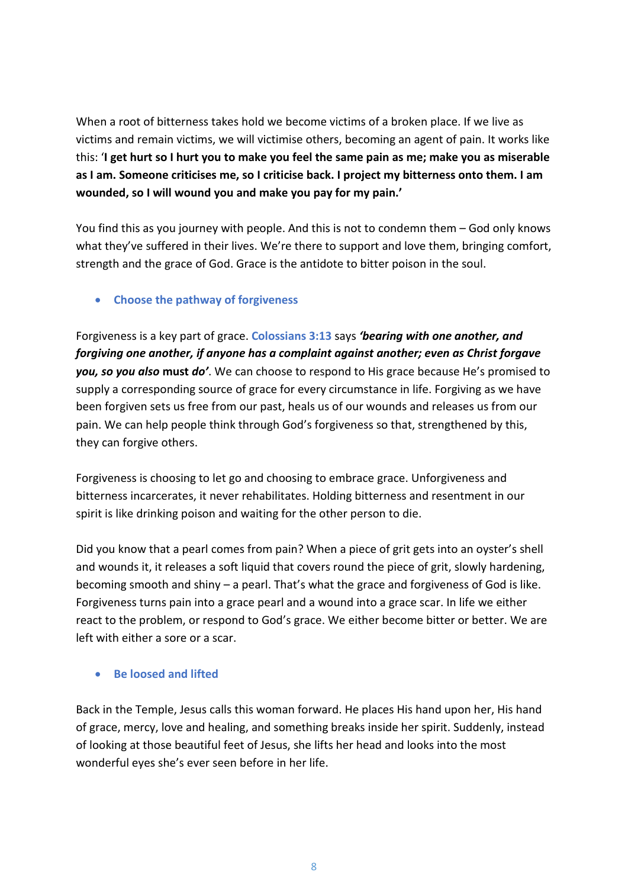When a root of bitterness takes hold we become victims of a broken place. If we live as victims and remain victims, we will victimise others, becoming an agent of pain. It works like this: '**I get hurt so I hurt you to make you feel the same pain as me; make you as miserable as I am. Someone criticises me, so I criticise back. I project my bitterness onto them. I am wounded, so I will wound you and make you pay for my pain.'**

You find this as you journey with people. And this is not to condemn them – God only knows what they've suffered in their lives. We're there to support and love them, bringing comfort, strength and the grace of God. Grace is the antidote to bitter poison in the soul.

## • **Choose the pathway of forgiveness**

Forgiveness is a key part of grace. **Colossians 3:13** says *'bearing with one another, and forgiving one another, if anyone has a complaint against another; even as Christ forgave you, so you also* **must** *do'*. We can choose to respond to His grace because He's promised to supply a corresponding source of grace for every circumstance in life. Forgiving as we have been forgiven sets us free from our past, heals us of our wounds and releases us from our pain. We can help people think through God's forgiveness so that, strengthened by this, they can forgive others.

Forgiveness is choosing to let go and choosing to embrace grace. Unforgiveness and bitterness incarcerates, it never rehabilitates. Holding bitterness and resentment in our spirit is like drinking poison and waiting for the other person to die.

Did you know that a pearl comes from pain? When a piece of grit gets into an oyster's shell and wounds it, it releases a soft liquid that covers round the piece of grit, slowly hardening, becoming smooth and shiny – a pearl. That's what the grace and forgiveness of God is like. Forgiveness turns pain into a grace pearl and a wound into a grace scar. In life we either react to the problem, or respond to God's grace. We either become bitter or better. We are left with either a sore or a scar.

## • **Be loosed and lifted**

Back in the Temple, Jesus calls this woman forward. He places His hand upon her, His hand of grace, mercy, love and healing, and something breaks inside her spirit. Suddenly, instead of looking at those beautiful feet of Jesus, she lifts her head and looks into the most wonderful eyes she's ever seen before in her life.